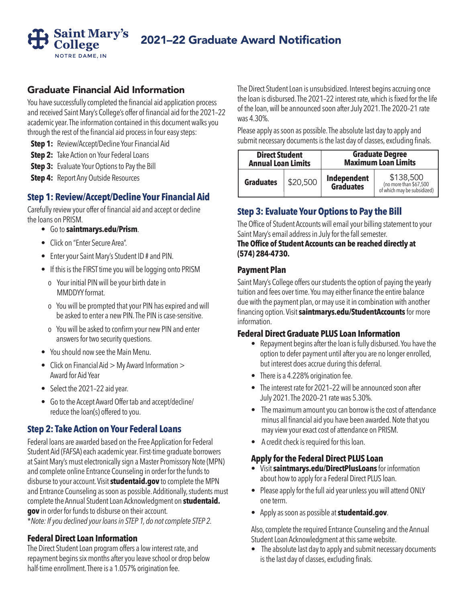

# 2021–22 Graduate Award Notification

# Graduate Financial Aid Information

You have successfully completed the financial aid application process and received Saint Mary's College's offer of financial aid for the 2021–22 academic year. The information contained in this document walks you through the rest of the financial aid process in four easy steps:

**Step 1:** Review/Accept/Decline Your Financial Aid

**Step 2:** Take Action on Your Federal Loans

**Step 3:** Evaluate Your Options to Pay the Bill

**Step 4:** Report Any Outside Resources

# **Step 1: Review/Accept/Decline Your Financial Aid**

Carefully review your offer of financial aid and accept or decline the loans on PRISM.

- Go to **saintmarys.edu/Prism**.
- Click on "Enter Secure Area".
- Enter your Saint Mary's Student ID # and PIN.
- If this is the FIRST time you will be logging onto PRISM
	- o Your initial PIN will be your birth date in MMDDYY format.
	- o You will be prompted that your PIN has expired and will be asked to enter a new PIN. The PIN is case-sensitive.
	- o You will be asked to confirm your new PIN and enter answers for two security questions.
- You should now see the Main Menu.
- Click on Financial Aid > My Award Information > Award for Aid Year
- Select the 2021-22 aid year.
- Go to the Accept Award Offer tab and accept/decline/ reduce the loan(s) offered to you.

## **Step 2: Take Action on Your Federal Loans**

Federal loans are awarded based on the Free Application for Federal Student Aid (FAFSA) each academic year. First-time graduate borrowers at Saint Mary's must electronically sign a Master Promissory Note (MPN) and complete online Entrance Counseling in order for the funds to disburse to your account. Visit **studentaid.gov** to complete the MPN and Entrance Counseling as soon as possible. Additionally, students must complete the Annual Student Loan Acknowledgment on **studentaid. gov** in order for funds to disburse on their account.

\**Note: If you declined your loans in STEP 1, do not complete STEP 2.*

#### **Federal Direct Loan Information**

The Direct Student Loan program offers a low interest rate, and repayment begins six months after you leave school or drop below half-time enrollment. There is a 1.057% origination fee.

The Direct Student Loan is unsubsidized. Interest begins accruing once the loan is disbursed. The 2021–22 interest rate, which is fixed for the life of the loan, will be announced soon after July 2021. The 2020–21 rate was 4.30%.

Please apply as soon as possible. The absolute last day to apply and submit necessary documents is the last day of classes, excluding finals.

| <b>Direct Student</b>     |          | <b>Graduate Degree</b>          |                                                                   |
|---------------------------|----------|---------------------------------|-------------------------------------------------------------------|
| <b>Annual Loan Limits</b> |          | <b>Maximum Loan Limits</b>      |                                                                   |
| <b>Graduates</b>          | \$20,500 | Independent<br><b>Graduates</b> | $$138,500$ (no more than \$67,500)<br>of which may be subsidized) |

# **Step 3: Evaluate Your Options to Pay the Bill**

The Office of Student Accounts will email your billing statement to your Saint Mary's email address in July for the fall semester.

#### **The Office of Student Accounts can be reached directly at (574) 284-4730.**

#### **Payment Plan**

Saint Mary's College offers our students the option of paying the yearly tuition and fees over time. You may either finance the entire balance due with the payment plan, or may use it in combination with another financing option. Visit **saintmarys.edu/StudentAccounts** for more information.

#### **Federal Direct Graduate PLUS Loan Information**

- Repayment begins after the loan is fully disbursed. You have the option to defer payment until after you are no longer enrolled, but interest does accrue during this deferral.
- There is a 4.228% origination fee.
- The interest rate for 2021–22 will be announced soon after July 2021. The 2020–21 rate was 5.30%.
- The maximum amount you can borrow is the cost of attendance minus all financial aid you have been awarded. Note that you may view your exact cost of attendance on PRISM.
- A credit check is required for this loan.

#### **Apply for the Federal Direct PLUS Loan**

- Visit **saintmarys.edu/DirectPlusLoans** for information about how to apply for a Federal Direct PLUS loan.
- Please apply for the full aid year unless you will attend ONLY one term.
- Apply as soon as possible at **studentaid.gov**.

Also, complete the required Entrance Counseling and the Annual Student Loan Acknowledgment at this same website.

• The absolute last day to apply and submit necessary documents is the last day of classes, excluding finals.